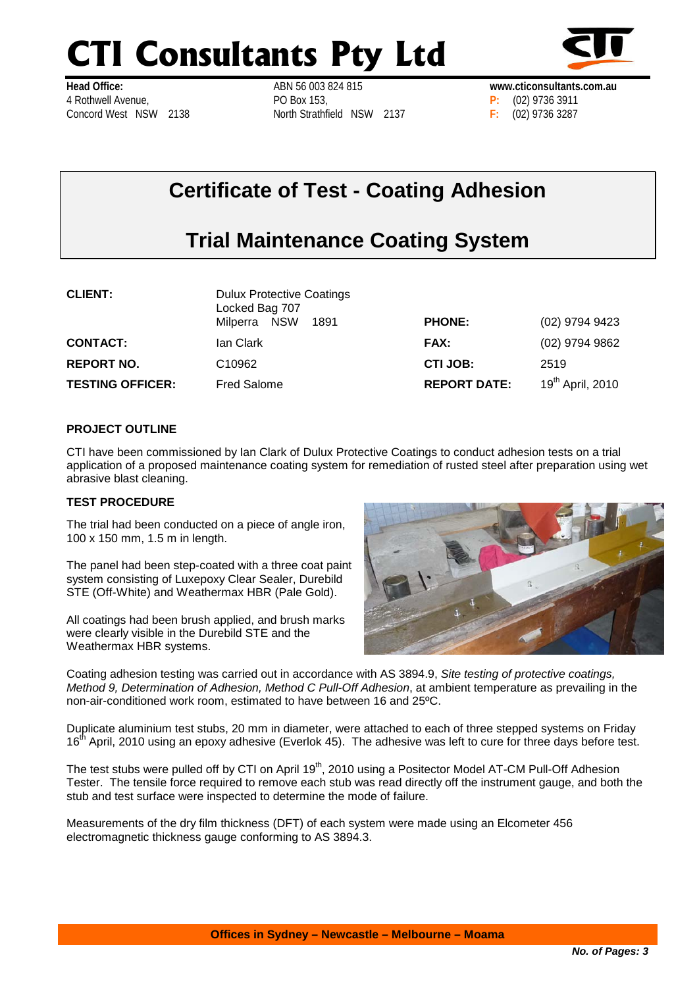# **CTI Consultants Pty Ltd**



**Head Office:** 4 Rothwell Avenue, Concord West NSW 2138 ABN 56 003 824 815 PO Box 153, North Strathfield NSW 2137



# **Certificate of Test - Coating Adhesion**

# **Trial Maintenance Coating System**

| <b>CLIENT:</b>          | <b>Dulux Protective Coatings</b><br>Locked Bag 707 |                     |                              |
|-------------------------|----------------------------------------------------|---------------------|------------------------------|
|                         | 1891<br>Milperra NSW                               | <b>PHONE:</b>       | (02) 9794 9423               |
| <b>CONTACT:</b>         | lan Clark                                          | <b>FAX:</b>         | (02) 9794 9862               |
| <b>REPORT NO.</b>       | C10962                                             | CTI JOB:            | 2519                         |
| <b>TESTING OFFICER:</b> | <b>Fred Salome</b>                                 | <b>REPORT DATE:</b> | 19 <sup>th</sup> April, 2010 |

## **PROJECT OUTLINE**

CTI have been commissioned by Ian Clark of Dulux Protective Coatings to conduct adhesion tests on a trial application of a proposed maintenance coating system for remediation of rusted steel after preparation using wet abrasive blast cleaning.

#### **TEST PROCEDURE**

The trial had been conducted on a piece of angle iron, 100 x 150 mm, 1.5 m in length.

The panel had been step-coated with a three coat paint system consisting of Luxepoxy Clear Sealer, Durebild STE (Off-White) and Weathermax HBR (Pale Gold).

All coatings had been brush applied, and brush marks were clearly visible in the Durebild STE and the Weathermax HBR systems.



Coating adhesion testing was carried out in accordance with AS 3894.9, *Site testing of protective coatings, Method 9, Determination of Adhesion, Method C Pull-Off Adhesion*, at ambient temperature as prevailing in the non-air-conditioned work room, estimated to have between 16 and 25ºC.

Duplicate aluminium test stubs, 20 mm in diameter, were attached to each of three stepped systems on Friday 16<sup>th</sup> April, 2010 using an epoxy adhesive (Everlok 45). The adhesive was left to cure for three days before test.

The test stubs were pulled off by CTI on April 19<sup>th</sup>, 2010 using a Positector Model AT-CM Pull-Off Adhesion Tester. The tensile force required to remove each stub was read directly off the instrument gauge, and both the stub and test surface were inspected to determine the mode of failure.

Measurements of the dry film thickness (DFT) of each system were made using an Elcometer 456 electromagnetic thickness gauge conforming to AS 3894.3.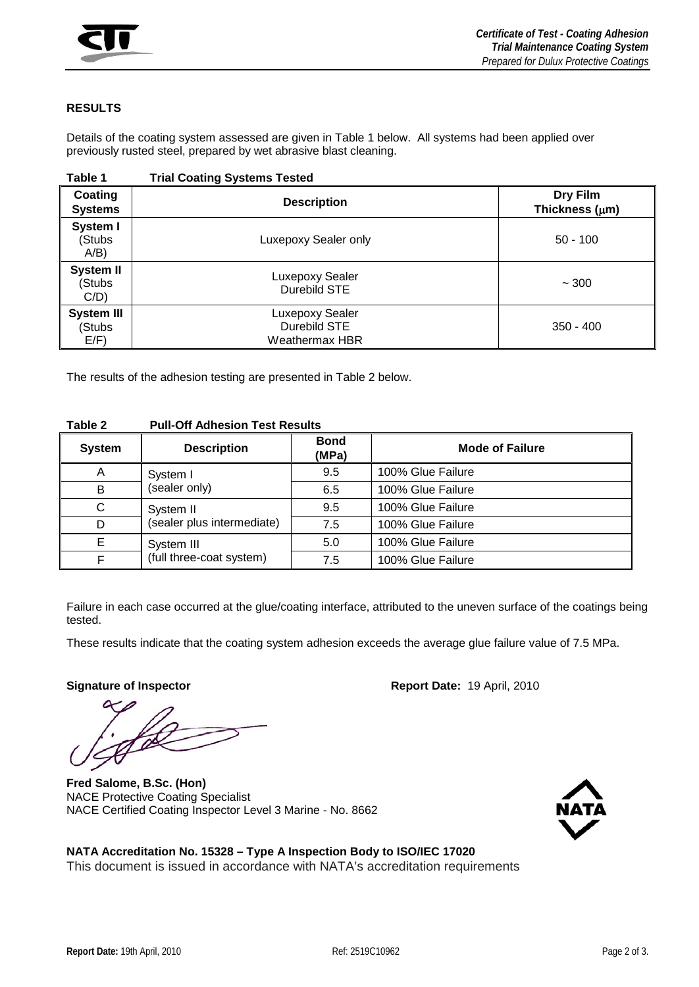

### **RESULTS**

Details of the coating system assessed are given in [Table 1](#page-1-0) below. All systems had been applied over previously rusted steel, prepared by wet abrasive blast cleaning.

<span id="page-1-0"></span>

| Table 1                                | <b>Trial Coating Systems Tested</b>               |                                 |
|----------------------------------------|---------------------------------------------------|---------------------------------|
| Coating<br><b>Systems</b>              | <b>Description</b>                                | Dry Film<br>Thickness $(\mu m)$ |
| System I<br>(Stubs<br>$A/B$ )          | Luxepoxy Sealer only                              | $50 - 100$                      |
| <b>System II</b><br>(Stubs<br>C/D)     | Luxepoxy Sealer<br>Durebild STE                   | ~100                            |
| <b>System III</b><br>(Stubs<br>$E/F$ ) | Luxepoxy Sealer<br>Durebild STE<br>Weathermax HBR | $350 - 400$                     |

The results of the adhesion testing are presented in [Table 2](#page-1-1) below.

| <b>System</b> | <b>Description</b>                      | <b>Bond</b><br>(MPa) | <b>Mode of Failure</b> |
|---------------|-----------------------------------------|----------------------|------------------------|
| A             | System I<br>(sealer only)               | 9.5                  | 100% Glue Failure      |
| B             |                                         | 6.5                  | 100% Glue Failure      |
| C             | System II<br>(sealer plus intermediate) | 9.5                  | 100% Glue Failure      |
| D             |                                         | 7.5                  | 100% Glue Failure      |
| Е             | System III                              | 5.0                  | 100% Glue Failure      |
|               | (full three-coat system)                | 7.5                  | 100% Glue Failure      |

#### <span id="page-1-1"></span>**Table 2 Pull-Off Adhesion Test Results**

Failure in each case occurred at the glue/coating interface, attributed to the uneven surface of the coatings being tested.

These results indicate that the coating system adhesion exceeds the average glue failure value of 7.5 MPa.

**Fred Salome, B.Sc. (Hon)** NACE Protective Coating Specialist NACE Certified Coating Inspector Level 3 Marine - No. 8662

**Signature of Inspector Contract Contract Contract Report Date: 19 April, 2010** 



## **NATA Accreditation No. 15328 – Type A Inspection Body to ISO/IEC 17020** This document is issued in accordance with NATA's accreditation requirements